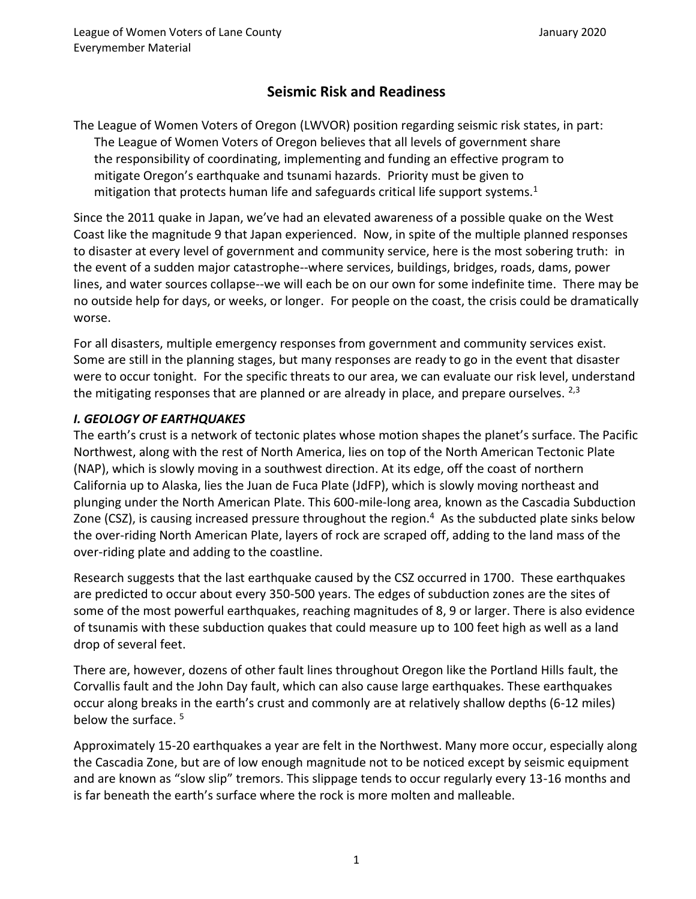# **Seismic Risk and Readiness**

The League of Women Voters of Oregon (LWVOR) position regarding seismic risk states, in part: The League of Women Voters of Oregon believes that all levels of government share the responsibility of coordinating, implementing and funding an effective program to mitigate Oregon's earthquake and tsunami hazards. Priority must be given to mitigation that protects human life and safeguards critical life support systems.<sup>1</sup>

Since the 2011 quake in Japan, we've had an elevated awareness of a possible quake on the West Coast like the magnitude 9 that Japan experienced. Now, in spite of the multiple planned responses to disaster at every level of government and community service, here is the most sobering truth: in the event of a sudden major catastrophe--where services, buildings, bridges, roads, dams, power lines, and water sources collapse--we will each be on our own for some indefinite time. There may be no outside help for days, or weeks, or longer. For people on the coast, the crisis could be dramatically worse.

For all disasters, multiple emergency responses from government and community services exist. Some are still in the planning stages, but many responses are ready to go in the event that disaster were to occur tonight. For the specific threats to our area, we can evaluate our risk level, understand the mitigating responses that are planned or are already in place, and prepare ourselves.  $2,3$ 

# *I. GEOLOGY OF EARTHQUAKES*

The earth's crust is a network of tectonic plates whose motion shapes the planet's surface. The Pacific Northwest, along with the rest of North America, lies on top of the North American Tectonic Plate (NAP), which is slowly moving in a southwest direction. At its edge, off the coast of northern California up to Alaska, lies the Juan de Fuca Plate (JdFP), which is slowly moving northeast and plunging under the North American Plate. This 600-mile-long area, known as the Cascadia Subduction Zone (CSZ), is causing increased pressure throughout the region.<sup>4</sup> As the subducted plate sinks below the over-riding North American Plate, layers of rock are scraped off, adding to the land mass of the over-riding plate and adding to the coastline.

Research suggests that the last earthquake caused by the CSZ occurred in 1700. These earthquakes are predicted to occur about every 350-500 years. The edges of subduction zones are the sites of some of the most powerful earthquakes, reaching magnitudes of 8, 9 or larger. There is also evidence of tsunamis with these subduction quakes that could measure up to 100 feet high as well as a land drop of several feet.

There are, however, dozens of other fault lines throughout Oregon like the Portland Hills fault, the Corvallis fault and the John Day fault, which can also cause large earthquakes. These earthquakes occur along breaks in the earth's crust and commonly are at relatively shallow depths (6-12 miles) below the surface. <sup>5</sup>

Approximately 15-20 earthquakes a year are felt in the Northwest. Many more occur, especially along the Cascadia Zone, but are of low enough magnitude not to be noticed except by seismic equipment and are known as "slow slip" tremors. This slippage tends to occur regularly every 13-16 months and is far beneath the earth's surface where the rock is more molten and malleable.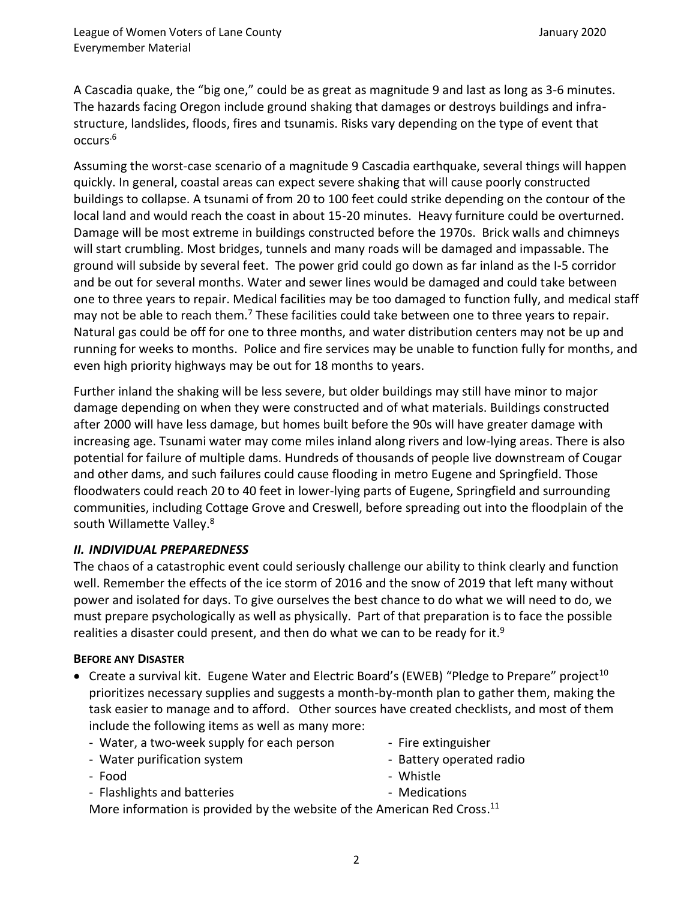A Cascadia quake, the "big one," could be as great as magnitude 9 and last as long as 3-6 minutes. The hazards facing Oregon include ground shaking that damages or destroys buildings and infrastructure, landslides, floods, fires and tsunamis. Risks vary depending on the type of event that occurs.6

Assuming the worst-case scenario of a magnitude 9 Cascadia earthquake, several things will happen quickly. In general, coastal areas can expect severe shaking that will cause poorly constructed buildings to collapse. A tsunami of from 20 to 100 feet could strike depending on the contour of the local land and would reach the coast in about 15-20 minutes. Heavy furniture could be overturned. Damage will be most extreme in buildings constructed before the 1970s. Brick walls and chimneys will start crumbling. Most bridges, tunnels and many roads will be damaged and impassable. The ground will subside by several feet. The power grid could go down as far inland as the I-5 corridor and be out for several months. Water and sewer lines would be damaged and could take between one to three years to repair. Medical facilities may be too damaged to function fully, and medical staff may not be able to reach them.<sup>7</sup> These facilities could take between one to three years to repair. Natural gas could be off for one to three months, and water distribution centers may not be up and running for weeks to months. Police and fire services may be unable to function fully for months, and even high priority highways may be out for 18 months to years.

Further inland the shaking will be less severe, but older buildings may still have minor to major damage depending on when they were constructed and of what materials. Buildings constructed after 2000 will have less damage, but homes built before the 90s will have greater damage with increasing age. Tsunami water may come miles inland along rivers and low-lying areas. There is also potential for failure of multiple dams. Hundreds of thousands of people live downstream of Cougar and other dams, and such failures could cause flooding in metro Eugene and Springfield. Those floodwaters could reach 20 to 40 feet in lower-lying parts of Eugene, Springfield and surrounding communities, including Cottage Grove and Creswell, before spreading out into the floodplain of the south Willamette Valley.<sup>8</sup>

# *II. INDIVIDUAL PREPAREDNESS*

The chaos of a catastrophic event could seriously challenge our ability to think clearly and function well. Remember the effects of the ice storm of 2016 and the snow of 2019 that left many without power and isolated for days. To give ourselves the best chance to do what we will need to do, we must prepare psychologically as well as physically. Part of that preparation is to face the possible realities a disaster could present, and then do what we can to be ready for it.<sup>9</sup>

### **BEFORE ANY DISASTER**

- Create a survival kit. Eugene Water and Electric Board's (EWEB) "Pledge to Prepare" project<sup>10</sup> prioritizes necessary supplies and suggests a month-by-month plan to gather them, making the task easier to manage and to afford. Other sources have created checklists, and most of them include the following items as well as many more:
	- Water, a two-week supply for each person
	- Water purification system

- Fire extinguisher

- Food

- Battery operated radio
- Whistle

- Flashlights and batteries

- Medications

More information is provided by the website of the American Red Cross. $^{11}$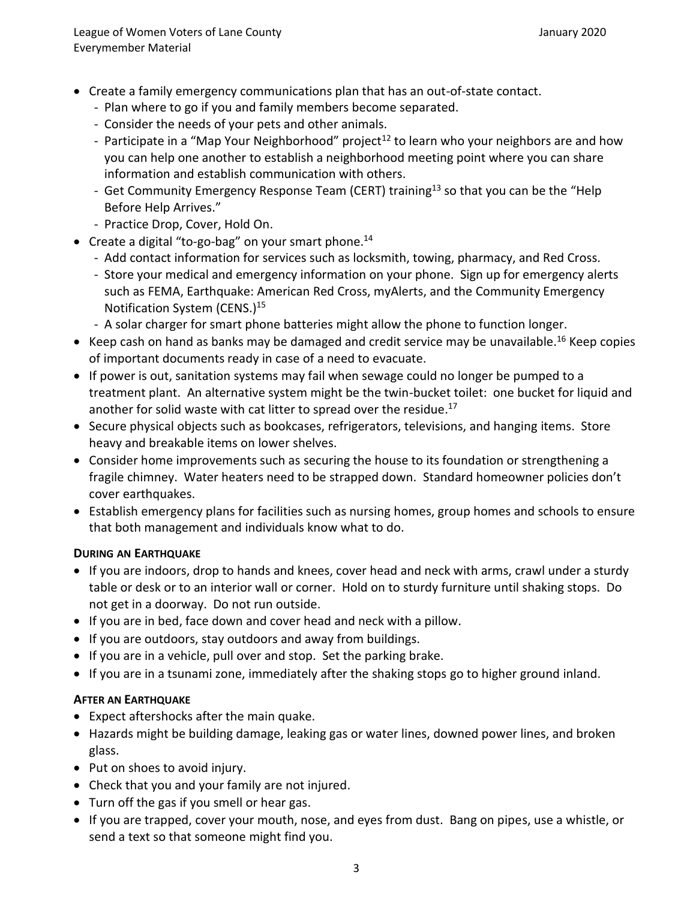- Create a family emergency communications plan that has an out-of-state contact.
	- Plan where to go if you and family members become separated.
	- Consider the needs of your pets and other animals.
	- Participate in a "Map Your Neighborhood" project<sup>12</sup> to learn who your neighbors are and how you can help one another to establish a neighborhood meeting point where you can share information and establish communication with others.
	- Get Community Emergency Response Team (CERT) training<sup>13</sup> so that you can be the "Help Before Help Arrives."
	- Practice Drop, Cover, Hold On.
- Create a digital "to-go-bag" on your smart phone.<sup>14</sup>
	- Add contact information for services such as locksmith, towing, pharmacy, and Red Cross.
	- Store your medical and emergency information on your phone. Sign up for emergency alerts such as FEMA, Earthquake: American Red Cross, myAlerts, and the Community Emergency Notification System (CENS.) 15
	- A solar charger for smart phone batteries might allow the phone to function longer.
- Keep cash on hand as banks may be damaged and credit service may be unavailable.<sup>16</sup> Keep copies of important documents ready in case of a need to evacuate.
- If power is out, sanitation systems may fail when sewage could no longer be pumped to a treatment plant. An alternative system might be the twin-bucket toilet: one bucket for liquid and another for solid waste with cat litter to spread over the residue.<sup>17</sup>
- Secure physical objects such as bookcases, refrigerators, televisions, and hanging items. Store heavy and breakable items on lower shelves.
- Consider home improvements such as securing the house to its foundation or strengthening a fragile chimney. Water heaters need to be strapped down. Standard homeowner policies don't cover earthquakes.
- Establish emergency plans for facilities such as nursing homes, group homes and schools to ensure that both management and individuals know what to do.

# **DURING AN EARTHQUAKE**

- If you are indoors, drop to hands and knees, cover head and neck with arms, crawl under a sturdy table or desk or to an interior wall or corner. Hold on to sturdy furniture until shaking stops. Do not get in a doorway. Do not run outside.
- If you are in bed, face down and cover head and neck with a pillow.
- If you are outdoors, stay outdoors and away from buildings.
- If you are in a vehicle, pull over and stop. Set the parking brake.
- If you are in a tsunami zone, immediately after the shaking stops go to higher ground inland.

# **AFTER AN EARTHQUAKE**

- Expect aftershocks after the main quake.
- Hazards might be building damage, leaking gas or water lines, downed power lines, and broken glass.
- Put on shoes to avoid injury.
- Check that you and your family are not injured.
- Turn off the gas if you smell or hear gas.
- If you are trapped, cover your mouth, nose, and eyes from dust. Bang on pipes, use a whistle, or send a text so that someone might find you.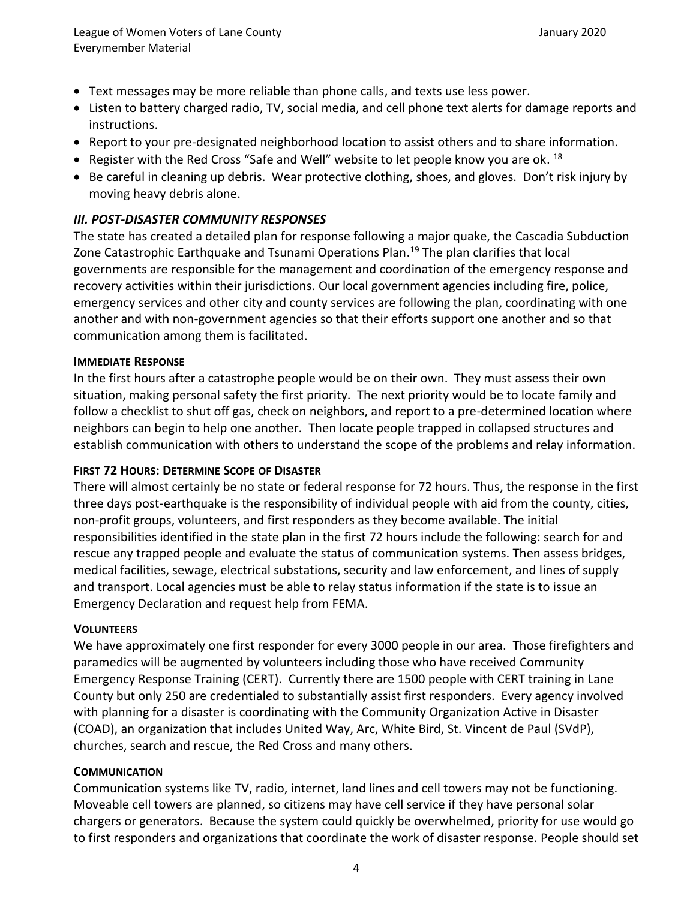- Text messages may be more reliable than phone calls, and texts use less power.
- Listen to battery charged radio, TV, social media, and cell phone text alerts for damage reports and instructions.
- Report to your pre-designated neighborhood location to assist others and to share information.
- Register with the Red Cross "Safe and Well" website to let people know you are ok. <sup>18</sup>
- Be careful in cleaning up debris. Wear protective clothing, shoes, and gloves. Don't risk injury by moving heavy debris alone.

# *III. POST-DISASTER COMMUNITY RESPONSES*

The state has created a detailed plan for response following a major quake, the Cascadia Subduction Zone Catastrophic Earthquake and Tsunami Operations Plan. <sup>19</sup> The plan clarifies that local governments are responsible for the management and coordination of the emergency response and recovery activities within their jurisdictions. Our local government agencies including fire, police, emergency services and other city and county services are following the plan, coordinating with one another and with non-government agencies so that their efforts support one another and so that communication among them is facilitated.

# **IMMEDIATE RESPONSE**

In the first hours after a catastrophe people would be on their own. They must assess their own situation, making personal safety the first priority. The next priority would be to locate family and follow a checklist to shut off gas, check on neighbors, and report to a pre-determined location where neighbors can begin to help one another. Then locate people trapped in collapsed structures and establish communication with others to understand the scope of the problems and relay information.

# **FIRST 72 HOURS: DETERMINE SCOPE OF DISASTER**

There will almost certainly be no state or federal response for 72 hours. Thus, the response in the first three days post-earthquake is the responsibility of individual people with aid from the county, cities, non-profit groups, volunteers, and first responders as they become available. The initial responsibilities identified in the state plan in the first 72 hours include the following: search for and rescue any trapped people and evaluate the status of communication systems. Then assess bridges, medical facilities, sewage, electrical substations, security and law enforcement, and lines of supply and transport. Local agencies must be able to relay status information if the state is to issue an Emergency Declaration and request help from FEMA.

### **VOLUNTEERS**

We have approximately one first responder for every 3000 people in our area. Those firefighters and paramedics will be augmented by volunteers including those who have received Community Emergency Response Training (CERT). Currently there are 1500 people with CERT training in Lane County but only 250 are credentialed to substantially assist first responders. Every agency involved with planning for a disaster is coordinating with the Community Organization Active in Disaster (COAD), an organization that includes United Way, Arc, White Bird, St. Vincent de Paul (SVdP), churches, search and rescue, the Red Cross and many others.

### **COMMUNICATION**

Communication systems like TV, radio, internet, land lines and cell towers may not be functioning. Moveable cell towers are planned, so citizens may have cell service if they have personal solar chargers or generators. Because the system could quickly be overwhelmed, priority for use would go to first responders and organizations that coordinate the work of disaster response. People should set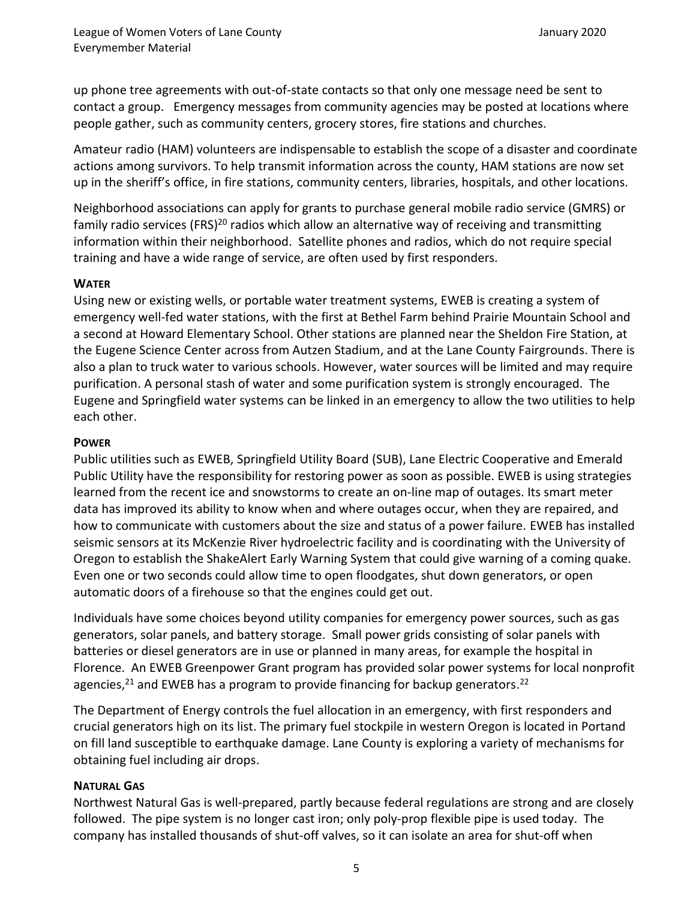up phone tree agreements with out-of-state contacts so that only one message need be sent to contact a group. Emergency messages from community agencies may be posted at locations where people gather, such as community centers, grocery stores, fire stations and churches.

Amateur radio (HAM) volunteers are indispensable to establish the scope of a disaster and coordinate actions among survivors. To help transmit information across the county, HAM stations are now set up in the sheriff's office, in fire stations, community centers, libraries, hospitals, and other locations.

Neighborhood associations can apply for grants to purchase general mobile radio service (GMRS) or family radio services (FRS)<sup>20</sup> radios which allow an alternative way of receiving and transmitting information within their neighborhood. Satellite phones and radios, which do not require special training and have a wide range of service, are often used by first responders.

### **WATER**

Using new or existing wells, or portable water treatment systems, EWEB is creating a system of emergency well-fed water stations, with the first at Bethel Farm behind Prairie Mountain School and a second at Howard Elementary School. Other stations are planned near the Sheldon Fire Station, at the Eugene Science Center across from Autzen Stadium, and at the Lane County Fairgrounds. There is also a plan to truck water to various schools. However, water sources will be limited and may require purification. A personal stash of water and some purification system is strongly encouraged. The Eugene and Springfield water systems can be linked in an emergency to allow the two utilities to help each other.

#### **POWER**

Public utilities such as EWEB, Springfield Utility Board (SUB), Lane Electric Cooperative and Emerald Public Utility have the responsibility for restoring power as soon as possible. EWEB is using strategies learned from the recent ice and snowstorms to create an on-line map of outages. Its smart meter data has improved its ability to know when and where outages occur, when they are repaired, and how to communicate with customers about the size and status of a power failure. EWEB has installed seismic sensors at its McKenzie River hydroelectric facility and is coordinating with the University of Oregon to establish the ShakeAlert Early Warning System that could give warning of a coming quake. Even one or two seconds could allow time to open floodgates, shut down generators, or open automatic doors of a firehouse so that the engines could get out.

Individuals have some choices beyond utility companies for emergency power sources, such as gas generators, solar panels, and battery storage. Small power grids consisting of solar panels with batteries or diesel generators are in use or planned in many areas, for example the hospital in Florence. An EWEB Greenpower Grant program has provided solar power systems for local nonprofit agencies,<sup>21</sup> and EWEB has a program to provide financing for backup generators.<sup>22</sup>

The Department of Energy controls the fuel allocation in an emergency, with first responders and crucial generators high on its list. The primary fuel stockpile in western Oregon is located in Portand on fill land susceptible to earthquake damage. Lane County is exploring a variety of mechanisms for obtaining fuel including air drops.

### **NATURAL GAS**

Northwest Natural Gas is well-prepared, partly because federal regulations are strong and are closely followed. The pipe system is no longer cast iron; only poly-prop flexible pipe is used today. The company has installed thousands of shut-off valves, so it can isolate an area for shut-off when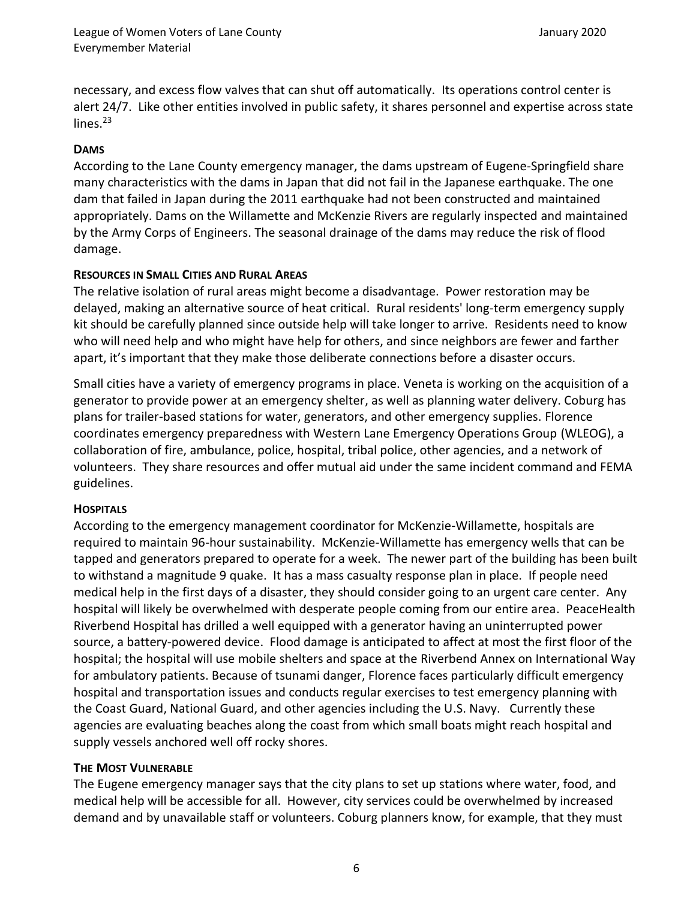necessary, and excess flow valves that can shut off automatically. Its operations control center is alert 24/7. Like other entities involved in public safety, it shares personnel and expertise across state  $lines.<sup>23</sup>$ 

### **DAMS**

According to the Lane County emergency manager, the dams upstream of Eugene-Springfield share many characteristics with the dams in Japan that did not fail in the Japanese earthquake. The one dam that failed in Japan during the 2011 earthquake had not been constructed and maintained appropriately. Dams on the Willamette and McKenzie Rivers are regularly inspected and maintained by the Army Corps of Engineers. The seasonal drainage of the dams may reduce the risk of flood damage.

# **RESOURCES IN SMALL CITIES AND RURAL AREAS**

The relative isolation of rural areas might become a disadvantage. Power restoration may be delayed, making an alternative source of heat critical. Rural residents' long-term emergency supply kit should be carefully planned since outside help will take longer to arrive. Residents need to know who will need help and who might have help for others, and since neighbors are fewer and farther apart, it's important that they make those deliberate connections before a disaster occurs.

Small cities have a variety of emergency programs in place. Veneta is working on the acquisition of a generator to provide power at an emergency shelter, as well as planning water delivery. Coburg has plans for trailer-based stations for water, generators, and other emergency supplies. Florence coordinates emergency preparedness with Western Lane Emergency Operations Group (WLEOG), a collaboration of fire, ambulance, police, hospital, tribal police, other agencies, and a network of volunteers. They share resources and offer mutual aid under the same incident command and FEMA guidelines.

### **HOSPITALS**

According to the emergency management coordinator for McKenzie-Willamette, hospitals are required to maintain 96-hour sustainability. McKenzie-Willamette has emergency wells that can be tapped and generators prepared to operate for a week. The newer part of the building has been built to withstand a magnitude 9 quake. It has a mass casualty response plan in place. If people need medical help in the first days of a disaster, they should consider going to an urgent care center. Any hospital will likely be overwhelmed with desperate people coming from our entire area. PeaceHealth Riverbend Hospital has drilled a well equipped with a generator having an uninterrupted power source, a battery-powered device. Flood damage is anticipated to affect at most the first floor of the hospital; the hospital will use mobile shelters and space at the Riverbend Annex on International Way for ambulatory patients. Because of tsunami danger, Florence faces particularly difficult emergency hospital and transportation issues and conducts regular exercises to test emergency planning with the Coast Guard, National Guard, and other agencies including the U.S. Navy. Currently these agencies are evaluating beaches along the coast from which small boats might reach hospital and supply vessels anchored well off rocky shores.

### **THE MOST VULNERABLE**

The Eugene emergency manager says that the city plans to set up stations where water, food, and medical help will be accessible for all. However, city services could be overwhelmed by increased demand and by unavailable staff or volunteers. Coburg planners know, for example, that they must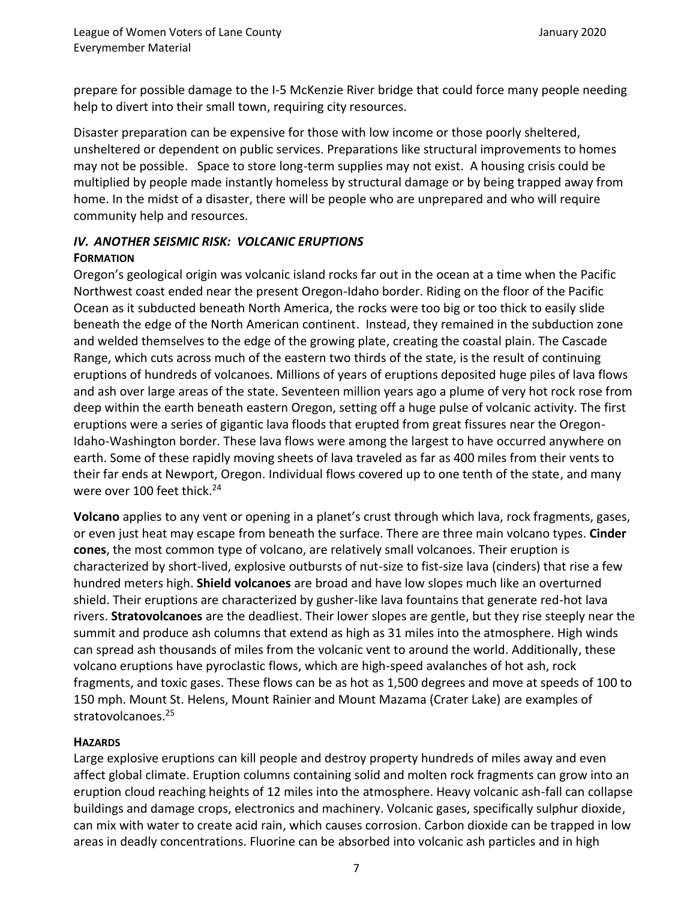prepare for possible damage to the I-5 McKenzie River bridge that could force many people needing help to divert into their small town, requiring city resources.

Disaster preparation can be expensive for those with low income or those poorly sheltered, unsheltered or dependent on public services. Preparations like structural improvements to homes may not be possible. Space to store long-term supplies may not exist. A housing crisis could be multiplied by people made instantly homeless by structural damage or by being trapped away from home. In the midst of a disaster, there will be people who are unprepared and who will require community help and resources.

# *IV. ANOTHER SEISMIC RISK: VOLCANIC ERUPTIONS* **FORMATION**

Oregon's geological origin was volcanic island rocks far out in the ocean at a time when the Pacific Northwest coast ended near the present Oregon-Idaho border. Riding on the floor of the Pacific Ocean as it subducted beneath North America, the rocks were too big or too thick to easily slide beneath the edge of the North American continent. Instead, they remained in the subduction zone and welded themselves to the edge of the growing plate, creating the coastal plain. The Cascade Range, which cuts across much of the eastern two thirds of the state, is the result of continuing eruptions of hundreds of volcanoes. Millions of years of eruptions deposited huge piles of lava flows and ash over large areas of the state. Seventeen million years ago a plume of very hot rock rose from deep within the earth beneath eastern Oregon, setting off a huge pulse of volcanic activity. The first eruptions were a series of gigantic lava floods that erupted from great fissures near the Oregon-Idaho-Washington border. These lava flows were among the largest to have occurred anywhere on earth. Some of these rapidly moving sheets of lava traveled as far as 400 miles from their vents to their far ends at Newport, Oregon. Individual flows covered up to one tenth of the state, and many were over 100 feet thick.<sup>24</sup>

**Volcano** applies to any vent or opening in a planet's crust through which lava, rock fragments, gases, or even just heat may escape from beneath the surface. There are three main volcano types. **Cinder cones**, the most common type of volcano, are relatively small volcanoes. Their eruption is characterized by short-lived, explosive outbursts of nut-size to fist-size lava (cinders) that rise a few hundred meters high. **Shield volcanoes** are broad and have low slopes much like an overturned shield. Their eruptions are characterized by gusher-like lava fountains that generate red-hot lava rivers. **Stratovolcanoes** are the deadliest. Their lower slopes are gentle, but they rise steeply near the summit and produce ash columns that extend as high as 31 miles into the atmosphere. High winds can spread ash thousands of miles from the volcanic vent to around the world. Additionally, these volcano eruptions have pyroclastic flows, which are high-speed avalanches of hot ash, rock fragments, and toxic gases. These flows can be as hot as 1,500 degrees and move at speeds of 100 to 150 mph. Mount St. Helens, Mount Rainier and Mount Mazama (Crater Lake) are examples of stratovolcanoes. 25

### **HAZARDS**

Large explosive eruptions can kill people and destroy property hundreds of miles away and even affect global climate. Eruption columns containing solid and molten rock fragments can grow into an eruption cloud reaching heights of 12 miles into the atmosphere. Heavy volcanic ash-fall can collapse buildings and damage crops, electronics and machinery. Volcanic gases, specifically sulphur dioxide, can mix with water to create acid rain, which causes corrosion. Carbon dioxide can be trapped in low areas in deadly concentrations. Fluorine can be absorbed into volcanic ash particles and in high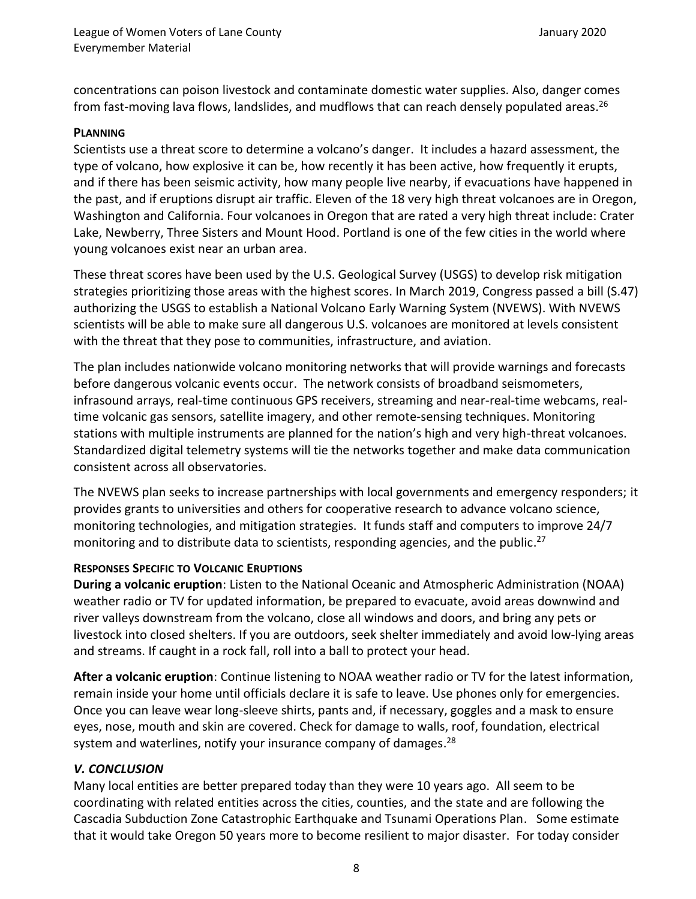concentrations can poison livestock and contaminate domestic water supplies. Also, danger comes from fast-moving lava flows, landslides, and mudflows that can reach densely populated areas.<sup>26</sup>

#### **PLANNING**

Scientists use a threat score to determine a volcano's danger. It includes a hazard assessment, the type of volcano, how explosive it can be, how recently it has been active, how frequently it erupts, and if there has been seismic activity, how many people live nearby, if evacuations have happened in the past, and if eruptions disrupt air traffic. Eleven of the 18 very high threat volcanoes are in Oregon, Washington and California. Four volcanoes in Oregon that are rated a very high threat include: Crater Lake, Newberry, Three Sisters and Mount Hood. Portland is one of the few cities in the world where young volcanoes exist near an urban area.

These threat scores have been used by the U.S. Geological Survey (USGS) to develop risk mitigation strategies prioritizing those areas with the highest scores. In March 2019, Congress passed a bill (S.47) authorizing the USGS to establish a National Volcano Early Warning System (NVEWS). With NVEWS scientists will be able to make sure all dangerous U.S. volcanoes are monitored at levels consistent with the threat that they pose to communities, infrastructure, and aviation.

The plan includes nationwide volcano monitoring networks that will provide warnings and forecasts before dangerous volcanic events occur. The network consists of broadband seismometers, infrasound arrays, real-time continuous GPS receivers, streaming and near-real-time webcams, realtime volcanic gas sensors, satellite imagery, and other remote-sensing techniques. Monitoring stations with multiple instruments are planned for the nation's high and very high-threat volcanoes. Standardized digital telemetry systems will tie the networks together and make data communication consistent across all observatories.

The NVEWS plan seeks to increase partnerships with local governments and emergency responders; it provides grants to universities and others for cooperative research to advance volcano science, monitoring technologies, and mitigation strategies. It funds staff and computers to improve 24/7 monitoring and to distribute data to scientists, responding agencies, and the public.<sup>27</sup>

### **RESPONSES SPECIFIC TO VOLCANIC ERUPTIONS**

**During a volcanic eruption**: Listen to the National Oceanic and Atmospheric Administration (NOAA) weather radio or TV for updated information, be prepared to evacuate, avoid areas downwind and river valleys downstream from the volcano, close all windows and doors, and bring any pets or livestock into closed shelters. If you are outdoors, seek shelter immediately and avoid low-lying areas and streams. If caught in a rock fall, roll into a ball to protect your head.

**After a volcanic eruption**: Continue listening to NOAA weather radio or TV for the latest information, remain inside your home until officials declare it is safe to leave. Use phones only for emergencies. Once you can leave wear long-sleeve shirts, pants and, if necessary, goggles and a mask to ensure eyes, nose, mouth and skin are covered. Check for damage to walls, roof, foundation, electrical system and waterlines, notify your insurance company of damages.<sup>28</sup>

### *V. CONCLUSION*

Many local entities are better prepared today than they were 10 years ago. All seem to be coordinating with related entities across the cities, counties, and the state and are following the Cascadia Subduction Zone Catastrophic Earthquake and Tsunami Operations Plan. Some estimate that it would take Oregon 50 years more to become resilient to major disaster. For today consider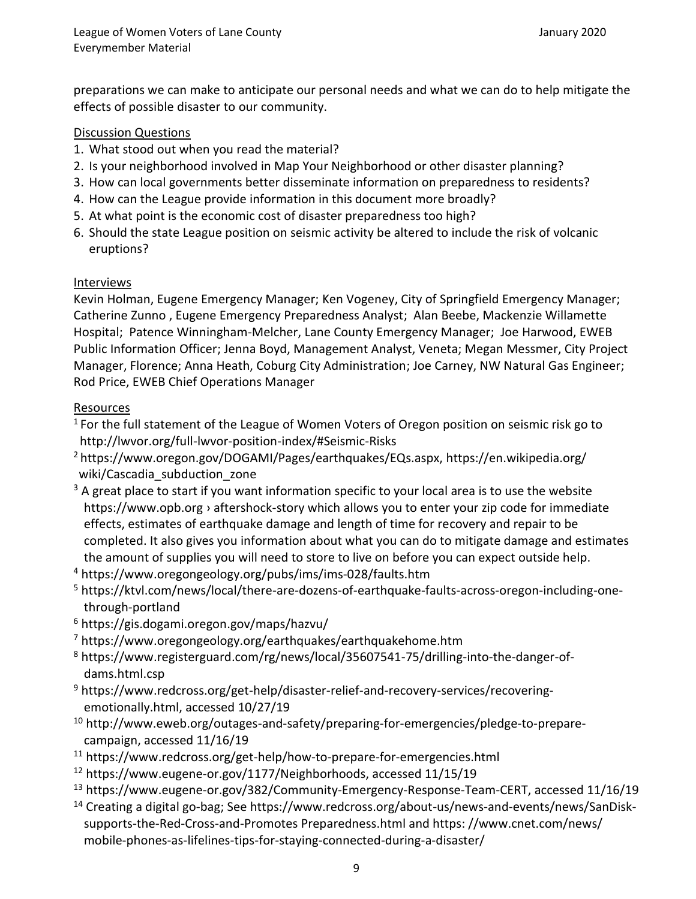preparations we can make to anticipate our personal needs and what we can do to help mitigate the effects of possible disaster to our community.

# Discussion Questions

- 1. What stood out when you read the material?
- 2. Is your neighborhood involved in Map Your Neighborhood or other disaster planning?
- 3. How can local governments better disseminate information on preparedness to residents?
- 4. How can the League provide information in this document more broadly?
- 5. At what point is the economic cost of disaster preparedness too high?
- 6. Should the state League position on seismic activity be altered to include the risk of volcanic eruptions?

# Interviews

Kevin Holman, Eugene Emergency Manager; Ken Vogeney, City of Springfield Emergency Manager; Catherine Zunno , Eugene Emergency Preparedness Analyst; Alan Beebe, Mackenzie Willamette Hospital; Patence Winningham-Melcher, Lane County Emergency Manager; Joe Harwood, EWEB Public Information Officer; Jenna Boyd, Management Analyst, Veneta; Megan Messmer, City Project Manager, Florence; Anna Heath, Coburg City Administration; Joe Carney, NW Natural Gas Engineer; Rod Price, EWEB Chief Operations Manager

# Resources

 $1$  For the full statement of the League of Women Voters of Oregon position on seismic risk go to http://lwvor.org/full-lwvor-position-index/#Seismic-Risks

<sup>2</sup> https://www.oregon.gov/DOGAMI/Pages/earthquakes/EQs.aspx,<https://en.wikipedia.org/> wiki/Cascadia\_subduction\_zone

 $3$  A great place to start if you want information specific to your local area is to use the website https://www.opb.org › aftershock-story which allows you to enter your zip code for immediate effects, estimates of earthquake damage and length of time for recovery and repair to be completed. It also gives you information about what you can do to mitigate damage and estimates the amount of supplies you will need to store to live on before you can expect outside help.

<sup>4</sup> https://www.oregongeology.org/pubs/ims/ims-028/faults.htm

- <sup>5</sup> https://ktvl.com/news/local/there-are-dozens-of-earthquake-faults-across-oregon-including-onethrough-portland
- <sup>6</sup> https://gis.dogami.oregon.gov/maps/hazvu/
- <sup>7</sup> https://www.oregongeology.org/earthquakes/earthquakehome.htm
- <sup>8</sup> https://www.registerguard.com/rg/news/local/35607541-75/drilling-into-the-danger-ofdams.html.csp
- <sup>9</sup> https://www.redcross.org/get-help/disaster-relief-and-recovery-services/recoveringemotionally.html, accessed 10/27/19
- <sup>10</sup> http://www.eweb.org/outages-and-safety/preparing-for-emergencies/pledge-to-preparecampaign, accessed 11/16/19
- <sup>11</sup> https://www.redcross.org/get-help/how-to-prepare-for-emergencies.html
- <sup>12</sup> https://www.eugene-or.gov/1177/Neighborhoods, accessed 11/15/19
- <sup>13</sup> https://www.eugene-or.gov/382/Community-Emergency-Response-Team-CERT, accessed 11/16/19
- <sup>14</sup> Creating a digital go-bag; See https://www.redcross.org/about-us/news-and-events/news/SanDisksupports-the-Red-Cross-and-Promotes Preparedness.html and https: //www.cnet.com/news/ mobile-phones-as-lifelines-tips-for-staying-connected-during-a-disaster/